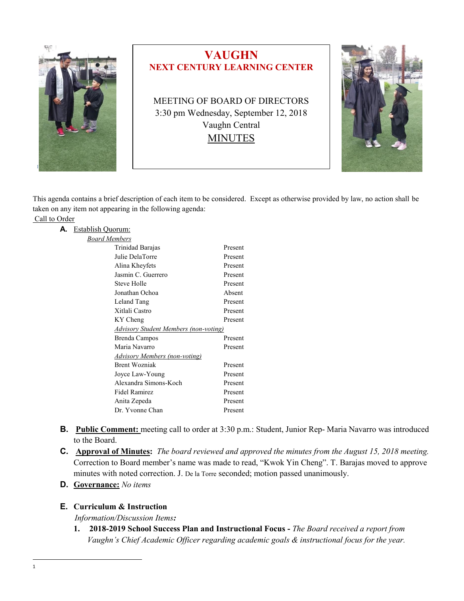

# **VAUGHN NEXT CENTURY LEARNING CENTER**

MEETING OF BOARD OF DIRECTORS 3:30 pm Wednesday, September 12, 2018 Vaughn Central **MINUTES** 



This agenda contains a brief description of each item to be considered. Except as otherwise provided by law, no action shall be taken on any item not appearing in the following agenda:

#### Call to Order

| А. | Establish Quorum:                            |         |  |
|----|----------------------------------------------|---------|--|
|    | <b>Board Members</b>                         |         |  |
|    | Trinidad Barajas                             | Present |  |
|    | Julie DelaTorre                              | Present |  |
|    | Alina Kheyfets                               | Present |  |
|    | Jasmin C. Guerrero                           | Present |  |
|    | Steve Holle                                  | Present |  |
|    | Jonathan Ochoa                               | Absent  |  |
|    | Leland Tang                                  | Present |  |
|    | Xitlali Castro                               | Present |  |
|    | KY Cheng                                     | Present |  |
|    | <b>Advisory Student Members (non-voting)</b> |         |  |
|    | Brenda Campos                                | Present |  |
|    | Maria Navarro                                | Present |  |
|    | <b>Advisory Members (non-voting)</b>         |         |  |
|    | <b>Brent Wozniak</b>                         | Present |  |
|    | Joyce Law-Young                              | Present |  |
|    | Alexandra Simons-Koch                        | Present |  |
|    | Fidel Ramirez                                | Present |  |
|    | Anita Zepeda                                 | Present |  |
|    | Dr. Yvonne Chan                              | Present |  |
|    |                                              |         |  |

- **B. Public Comment:** meeting call to order at 3:30 p.m.: Student, Junior Rep- Maria Navarro was introduced to the Board.
- **C. Approval of Minutes:** *The board reviewed and approved the minutes from the August 15, 2018 meeting.* Correction to Board member's name was made to read, "Kwok Yin Cheng". T. Barajas moved to approve minutes with noted correction. J. De la Torre seconded; motion passed unanimously.
- **D. Governance:** *No items*

## **E. Curriculum & Instruction**

*Information/Discussion Items:*

**1. 2018-2019 School Success Plan and Instructional Focus -** *The Board received a report from Vaughn's Chief Academic Officer regarding academic goals & instructional focus for the year.*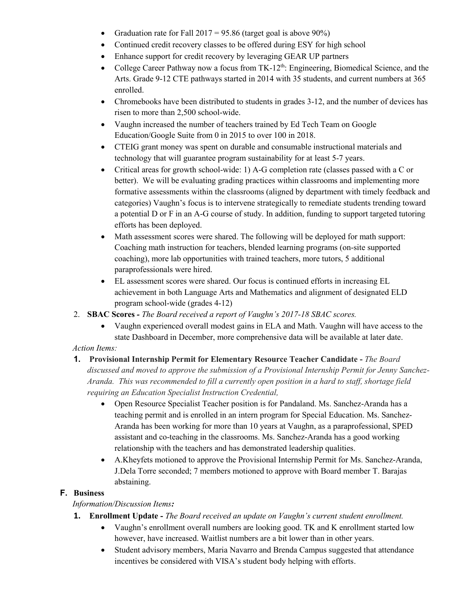- Graduation rate for Fall  $2017 = 95.86$  (target goal is above  $90\%$ )
- Continued credit recovery classes to be offered during ESY for high school
- Enhance support for credit recovery by leveraging GEAR UP partners
- College Career Pathway now a focus from  $TK-12<sup>th</sup>$ : Engineering, Biomedical Science, and the Arts. Grade 9-12 CTE pathways started in 2014 with 35 students, and current numbers at 365 enrolled.
- Chromebooks have been distributed to students in grades 3-12, and the number of devices has risen to more than 2,500 school-wide.
- Vaughn increased the number of teachers trained by Ed Tech Team on Google Education/Google Suite from 0 in 2015 to over 100 in 2018.
- CTEIG grant money was spent on durable and consumable instructional materials and technology that will guarantee program sustainability for at least 5-7 years.
- Critical areas for growth school-wide: 1) A-G completion rate (classes passed with a C or better). We will be evaluating grading practices within classrooms and implementing more formative assessments within the classrooms (aligned by department with timely feedback and categories) Vaughn's focus is to intervene strategically to remediate students trending toward a potential D or F in an A-G course of study. In addition, funding to support targeted tutoring efforts has been deployed.
- Math assessment scores were shared. The following will be deployed for math support: Coaching math instruction for teachers, blended learning programs (on-site supported coaching), more lab opportunities with trained teachers, more tutors, 5 additional paraprofessionals were hired.
- EL assessment scores were shared. Our focus is continued efforts in increasing EL achievement in both Language Arts and Mathematics and alignment of designated ELD program school-wide (grades 4-12)
- 2. **SBAC Scores** *- The Board received a report of Vaughn's 2017-18 SBAC scores.*
	- Vaughn experienced overall modest gains in ELA and Math. Vaughn will have access to the state Dashboard in December, more comprehensive data will be available at later date.

# *Action Items:*

- **1. Provisional Internship Permit for Elementary Resource Teacher Candidate -** *The Board discussed and moved to approve the submission of a Provisional Internship Permit for Jenny Sanchez-Aranda. This was recommended to fill a currently open position in a hard to staff, shortage field requiring an Education Specialist Instruction Credential,*
	- Open Resource Specialist Teacher position is for Pandaland. Ms. Sanchez-Aranda has a teaching permit and is enrolled in an intern program for Special Education. Ms. Sanchez-Aranda has been working for more than 10 years at Vaughn, as a paraprofessional, SPED assistant and co-teaching in the classrooms. Ms. Sanchez-Aranda has a good working relationship with the teachers and has demonstrated leadership qualities.
	- A.Kheyfets motioned to approve the Provisional Internship Permit for Ms. Sanchez-Aranda, J.Dela Torre seconded; 7 members motioned to approve with Board member T. Barajas abstaining.

# **F. Business**

*Information/Discussion Items:*

- **1. Enrollment Update -** *The Board received an update on Vaughn's current student enrollment.*
	- Vaughn's enrollment overall numbers are looking good. TK and K enrollment started low however, have increased. Waitlist numbers are a bit lower than in other years.
	- Student advisory members, Maria Navarro and Brenda Campus suggested that attendance incentives be considered with VISA's student body helping with efforts.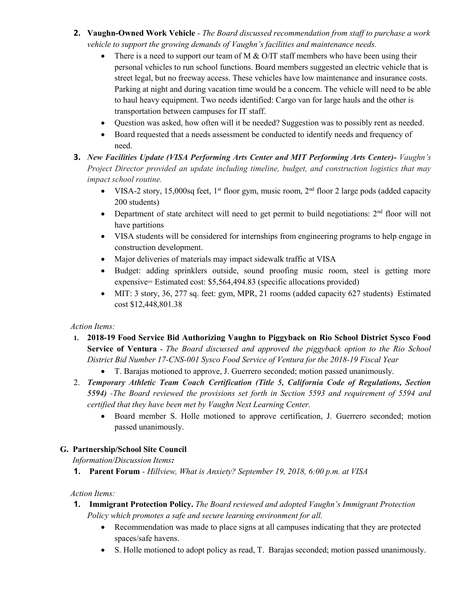- **2. Vaughn-Owned Work Vehicle** *- The Board discussed recommendation from staff to purchase a work vehicle to support the growing demands of Vaughn's facilities and maintenance needs.*
	- There is a need to support our team of M  $& O/IT$  staff members who have been using their personal vehicles to run school functions. Board members suggested an electric vehicle that is street legal, but no freeway access. These vehicles have low maintenance and insurance costs. Parking at night and during vacation time would be a concern. The vehicle will need to be able to haul heavy equipment. Two needs identified: Cargo van for large hauls and the other is transportation between campuses for IT staff.
	- Question was asked, how often will it be needed? Suggestion was to possibly rent as needed.
	- Board requested that a needs assessment be conducted to identify needs and frequency of need.
- **3.** *New Facilities Update (VISA Performing Arts Center and MIT Performing Arts Center)- Vaughn's Project Director provided an update including timeline, budget, and construction logistics that may impact school routine.*
	- VISA-2 story, 15,000sq feet, 1<sup>st</sup> floor gym, music room,  $2<sup>nd</sup>$  floor 2 large pods (added capacity 200 students)
	- Department of state architect will need to get permit to build negotiations:  $2<sup>nd</sup>$  floor will not have partitions
	- VISA students will be considered for internships from engineering programs to help engage in construction development.
	- Major deliveries of materials may impact sidewalk traffic at VISA
	- Budget: adding sprinklers outside, sound proofing music room, steel is getting more expensive= Estimated cost: \$5,564,494.83 (specific allocations provided)
	- MIT: 3 story, 36, 277 sq. feet: gym, MPR, 21 rooms (added capacity 627 students) Estimated cost \$12,448,801.38

## *Action Items:*

- **1. 2018-19 Food Service Bid Authorizing Vaughn to Piggyback on Rio School District Sysco Food Service of Ventura -** *The Board discussed and approved the piggyback option to the Rio School District Bid Number 17-CNS-001 Sysco Food Service of Ventura for the 2018-19 Fiscal Year*
	- T. Barajas motioned to approve, J. Guerrero seconded; motion passed unanimously.
- 2. *Temporary Athletic Team Coach Certification (Title 5, California Code of Regulations, Section 5594) -The Board reviewed the provisions set forth in Section 5593 and requirement of 5594 and certified that they have been met by Vaughn Next Learning Center.*
	- Board member S. Holle motioned to approve certification, J. Guerrero seconded; motion passed unanimously.

## **G. Partnership/School Site Council**

 *Information/Discussion Items:*

**1. Parent Forum** *- Hillview, What is Anxiety? September 19, 2018, 6:00 p.m. at VISA* 

## *Action Items:*

- **1. Immigrant Protection Policy.** *The Board reviewed and adopted Vaughn's Immigrant Protection Policy which promotes a safe and secure learning environment for all.*
	- Recommendation was made to place signs at all campuses indicating that they are protected spaces/safe havens.
	- S. Holle motioned to adopt policy as read, T. Barajas seconded; motion passed unanimously.